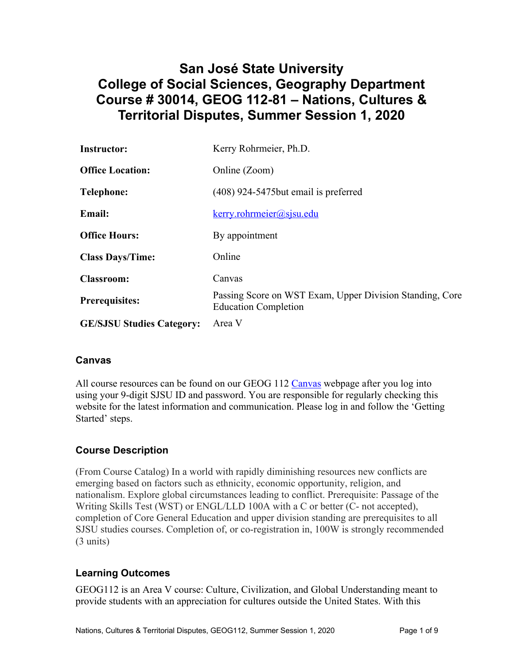# **San José State University College of Social Sciences, Geography Department Course # 30014, GEOG 112-81 – Nations, Cultures & Territorial Disputes, Summer Session 1, 2020**

| <b>Instructor:</b>               | Kerry Rohrmeier, Ph.D.                                                                  |
|----------------------------------|-----------------------------------------------------------------------------------------|
| <b>Office Location:</b>          | Online (Zoom)                                                                           |
| <b>Telephone:</b>                | (408) 924-5475 but email is preferred                                                   |
| <b>Email:</b>                    | $k$ erry.rohrmeier@sjsu.edu                                                             |
| <b>Office Hours:</b>             | By appointment                                                                          |
| <b>Class Days/Time:</b>          | Online                                                                                  |
| <b>Classroom:</b>                | Canvas                                                                                  |
| <b>Prerequisites:</b>            | Passing Score on WST Exam, Upper Division Standing, Core<br><b>Education Completion</b> |
| <b>GE/SJSU Studies Category:</b> | Area V                                                                                  |

#### **Canvas**

All course resources can be found on our GEOG 112 Canvas webpage after you log into using your 9-digit SJSU ID and password. You are responsible for regularly checking this website for the latest information and communication. Please log in and follow the 'Getting Started' steps.

# **Course Description**

(From Course Catalog) In a world with rapidly diminishing resources new conflicts are emerging based on factors such as ethnicity, economic opportunity, religion, and nationalism. Explore global circumstances leading to conflict. Prerequisite: Passage of the Writing Skills Test (WST) or ENGL/LLD 100A with a C or better (C- not accepted), completion of Core General Education and upper division standing are prerequisites to all SJSU studies courses. Completion of, or co-registration in, 100W is strongly recommended (3 units)

# **Learning Outcomes**

GEOG112 is an Area V course: Culture, Civilization, and Global Understanding meant to provide students with an appreciation for cultures outside the United States. With this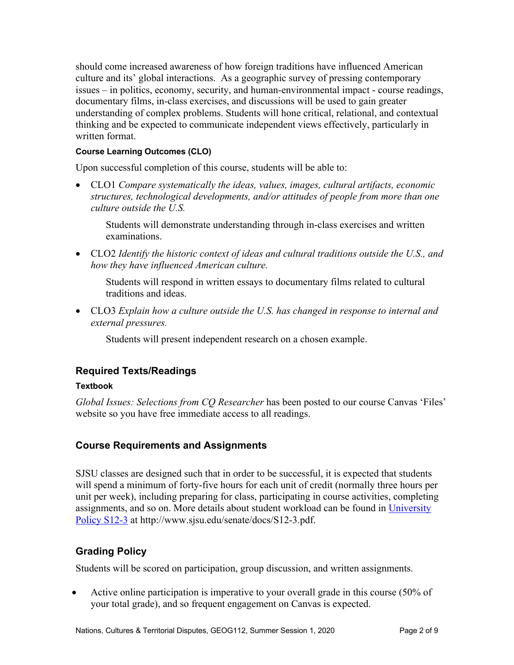should come increased awareness of how foreign traditions have influenced American culture and its' global interactions. As a geographic survey of pressing contemporary issues – in politics, economy, security, and human-environmental impact - course readings, documentary films, in-class exercises, and discussions will be used to gain greater understanding of complex problems. Students will hone critical, relational, and contextual thinking and be expected to communicate independent views effectively, particularly in written format.

#### **Course Learning Outcomes (CLO)**

Upon successful completion of this course, students will be able to:

• CLO1 *Compare systematically the ideas, values, images, cultural artifacts, economic structures, technological developments, and/or attitudes of people from more than one culture outside the U.S.*

Students will demonstrate understanding through in-class exercises and written examinations.

• CLO2 *Identify the historic context of ideas and cultural traditions outside the U.S., and how they have influenced American culture.*

Students will respond in written essays to documentary films related to cultural traditions and ideas.

• CLO3 *Explain how a culture outside the U.S. has changed in response to internal and external pressures.*

Students will present independent research on a chosen example.

# **Required Texts/Readings**

#### **Textbook**

*Global Issues: Selections from CQ Researcher* has been posted to our course Canvas 'Files' website so you have free immediate access to all readings.

#### **Course Requirements and Assignments**

SJSU classes are designed such that in order to be successful, it is expected that students will spend a minimum of forty-five hours for each unit of credit (normally three hours per unit per week), including preparing for class, participating in course activities, completing assignments, and so on. More details about student workload can be found in University Policy S12-3 at http://www.sjsu.edu/senate/docs/S12-3.pdf.

# **Grading Policy**

Students will be scored on participation, group discussion, and written assignments.

• Active online participation is imperative to your overall grade in this course (50% of your total grade), and so frequent engagement on Canvas is expected.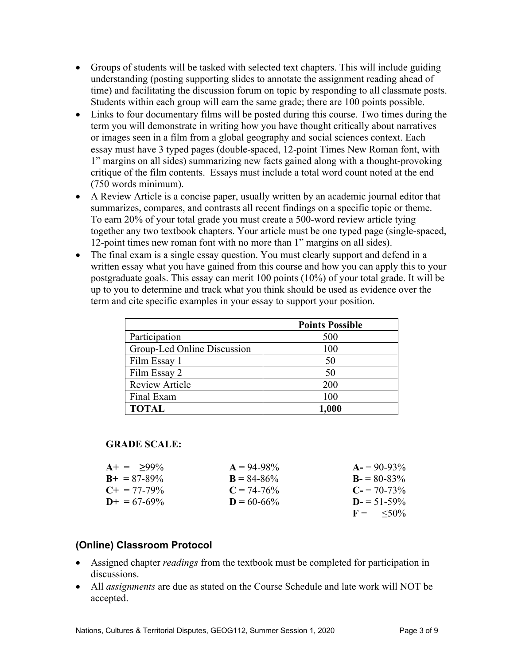- Groups of students will be tasked with selected text chapters. This will include guiding understanding (posting supporting slides to annotate the assignment reading ahead of time) and facilitating the discussion forum on topic by responding to all classmate posts. Students within each group will earn the same grade; there are 100 points possible.
- Links to four documentary films will be posted during this course. Two times during the term you will demonstrate in writing how you have thought critically about narratives or images seen in a film from a global geography and social sciences context. Each essay must have 3 typed pages (double-spaced, 12-point Times New Roman font, with 1" margins on all sides) summarizing new facts gained along with a thought-provoking critique of the film contents. Essays must include a total word count noted at the end (750 words minimum).
- A Review Article is a concise paper, usually written by an academic journal editor that summarizes, compares, and contrasts all recent findings on a specific topic or theme. To earn 20% of your total grade you must create a 500-word review article tying together any two textbook chapters. Your article must be one typed page (single-spaced, 12-point times new roman font with no more than 1" margins on all sides).
- The final exam is a single essay question. You must clearly support and defend in a written essay what you have gained from this course and how you can apply this to your postgraduate goals. This essay can merit 100 points (10%) of your total grade. It will be up to you to determine and track what you think should be used as evidence over the term and cite specific examples in your essay to support your position.

|                             | <b>Points Possible</b> |
|-----------------------------|------------------------|
| Participation               | 500                    |
| Group-Led Online Discussion | 100                    |
| Film Essay 1                | 50                     |
| Film Essay 2                | 50                     |
| <b>Review Article</b>       | 200                    |
| Final Exam                  | 100                    |
| <b>TOTAL</b>                | 1,000                  |

#### **GRADE SCALE:**

| $A+ = 99\%$           | $A = 94-98\%$   | $A = 90-93\%$        |
|-----------------------|-----------------|----------------------|
| $B_{+} = 87 - 89\%$   | $B = 84 - 86\%$ | $B = 80-83\%$        |
| $C_{\pm} = 77 - 79\%$ | $C = 74-76%$    | $C = 70-73\%$        |
| $D_{+} = 67 - 69\%$   | $D = 60-66%$    | $D = 51 - 59\%$      |
|                       |                 | $F = \frac{50\%}{6}$ |

#### **(Online) Classroom Protocol**

- Assigned chapter *readings* from the textbook must be completed for participation in discussions.
- All *assignments* are due as stated on the Course Schedule and late work will NOT be accepted.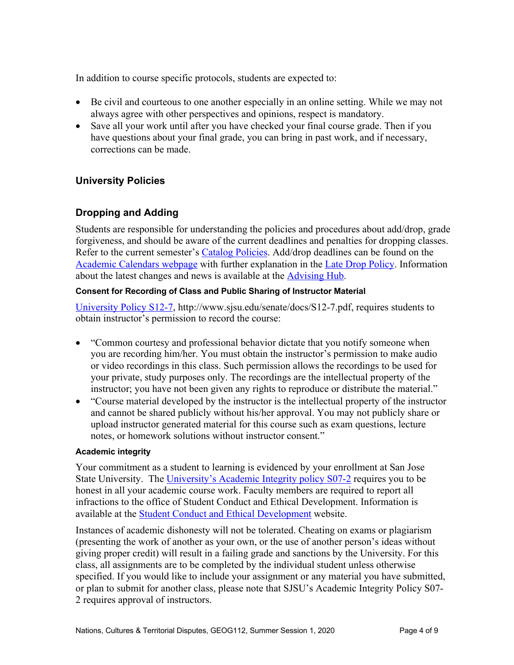In addition to course specific protocols, students are expected to:

- Be civil and courteous to one another especially in an online setting. While we may not always agree with other perspectives and opinions, respect is mandatory.
- Save all your work until after you have checked your final course grade. Then if you have questions about your final grade, you can bring in past work, and if necessary, corrections can be made.

#### **University Policies**

### **Dropping and Adding**

Students are responsible for understanding the policies and procedures about add/drop, grade forgiveness, and should be aware of the current deadlines and penalties for dropping classes. Refer to the current semester's Catalog Policies. Add/drop deadlines can be found on the Academic Calendars webpage with further explanation in the Late Drop Policy. Information about the latest changes and news is available at the **Advising Hub**.

#### **Consent for Recording of Class and Public Sharing of Instructor Material**

University Policy S12-7, http://www.sjsu.edu/senate/docs/S12-7.pdf, requires students to obtain instructor's permission to record the course:

- "Common courtesy and professional behavior dictate that you notify someone when you are recording him/her. You must obtain the instructor's permission to make audio or video recordings in this class. Such permission allows the recordings to be used for your private, study purposes only. The recordings are the intellectual property of the instructor; you have not been given any rights to reproduce or distribute the material."
- "Course material developed by the instructor is the intellectual property of the instructor and cannot be shared publicly without his/her approval. You may not publicly share or upload instructor generated material for this course such as exam questions, lecture notes, or homework solutions without instructor consent."

#### **Academic integrity**

Your commitment as a student to learning is evidenced by your enrollment at San Jose State University. The University's Academic Integrity policy S07-2 requires you to be honest in all your academic course work. Faculty members are required to report all infractions to the office of Student Conduct and Ethical Development. Information is available at the Student Conduct and Ethical Development website.

Instances of academic dishonesty will not be tolerated. Cheating on exams or plagiarism (presenting the work of another as your own, or the use of another person's ideas without giving proper credit) will result in a failing grade and sanctions by the University. For this class, all assignments are to be completed by the individual student unless otherwise specified. If you would like to include your assignment or any material you have submitted, or plan to submit for another class, please note that SJSU's Academic Integrity Policy S07- 2 requires approval of instructors.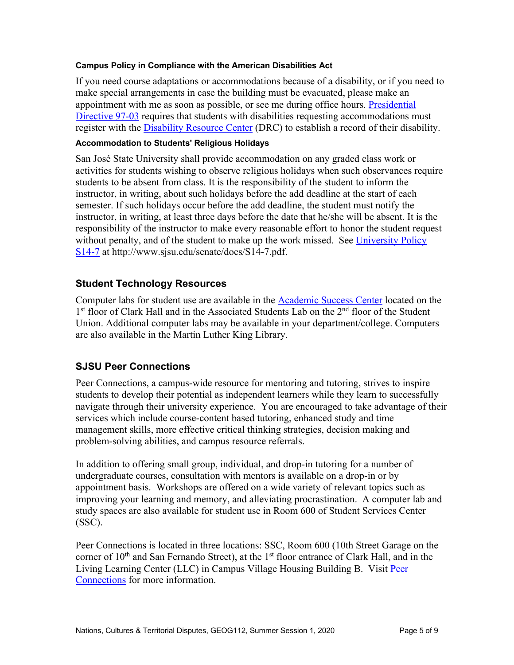#### **Campus Policy in Compliance with the American Disabilities Act**

If you need course adaptations or accommodations because of a disability, or if you need to make special arrangements in case the building must be evacuated, please make an appointment with me as soon as possible, or see me during office hours. Presidential Directive 97-03 requires that students with disabilities requesting accommodations must register with the Disability Resource Center (DRC) to establish a record of their disability.

#### **Accommodation to Students' Religious Holidays**

San José State University shall provide accommodation on any graded class work or activities for students wishing to observe religious holidays when such observances require students to be absent from class. It is the responsibility of the student to inform the instructor, in writing, about such holidays before the add deadline at the start of each semester. If such holidays occur before the add deadline, the student must notify the instructor, in writing, at least three days before the date that he/she will be absent. It is the responsibility of the instructor to make every reasonable effort to honor the student request without penalty, and of the student to make up the work missed. See University Policy S14-7 at http://www.sjsu.edu/senate/docs/S14-7.pdf.

#### **Student Technology Resources**

Computer labs for student use are available in the **Academic Success Center** located on the 1<sup>st</sup> floor of Clark Hall and in the Associated Students Lab on the 2<sup>nd</sup> floor of the Student Union. Additional computer labs may be available in your department/college. Computers are also available in the Martin Luther King Library.

#### **SJSU Peer Connections**

Peer Connections, a campus-wide resource for mentoring and tutoring, strives to inspire students to develop their potential as independent learners while they learn to successfully navigate through their university experience. You are encouraged to take advantage of their services which include course-content based tutoring, enhanced study and time management skills, more effective critical thinking strategies, decision making and problem-solving abilities, and campus resource referrals.

In addition to offering small group, individual, and drop-in tutoring for a number of undergraduate courses, consultation with mentors is available on a drop-in or by appointment basis. Workshops are offered on a wide variety of relevant topics such as improving your learning and memory, and alleviating procrastination. A computer lab and study spaces are also available for student use in Room 600 of Student Services Center (SSC).

Peer Connections is located in three locations: SSC, Room 600 (10th Street Garage on the corner of  $10<sup>th</sup>$  and San Fernando Street), at the  $1<sup>st</sup>$  floor entrance of Clark Hall, and in the Living Learning Center (LLC) in Campus Village Housing Building B. Visit Peer Connections for more information.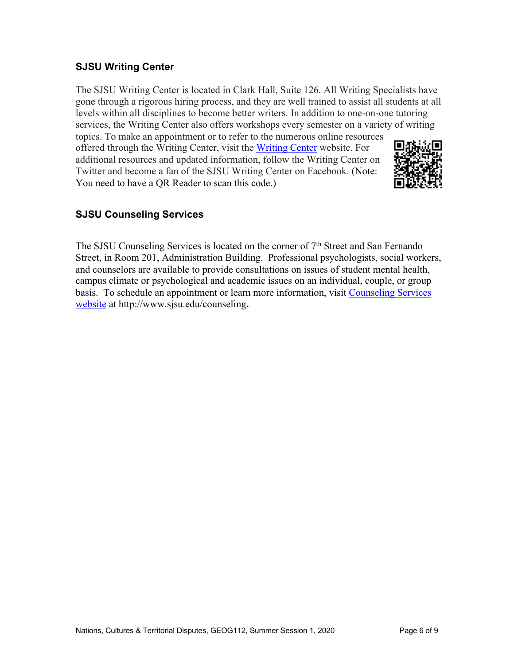### **SJSU Writing Center**

The SJSU Writing Center is located in Clark Hall, Suite 126. All Writing Specialists have gone through a rigorous hiring process, and they are well trained to assist all students at all levels within all disciplines to become better writers. In addition to one-on-one tutoring services, the Writing Center also offers workshops every semester on a variety of writing topics. To make an appointment or to refer to the numerous online resources

offered through the Writing Center, visit the Writing Center website. For additional resources and updated information, follow the Writing Center on Twitter and become a fan of the SJSU Writing Center on Facebook. (Note: You need to have a QR Reader to scan this code.)



# **SJSU Counseling Services**

The SJSU Counseling Services is located on the corner of 7<sup>th</sup> Street and San Fernando Street, in Room 201, Administration Building. Professional psychologists, social workers, and counselors are available to provide consultations on issues of student mental health, campus climate or psychological and academic issues on an individual, couple, or group basis. To schedule an appointment or learn more information, visit Counseling Services website at http://www.sjsu.edu/counseling**.**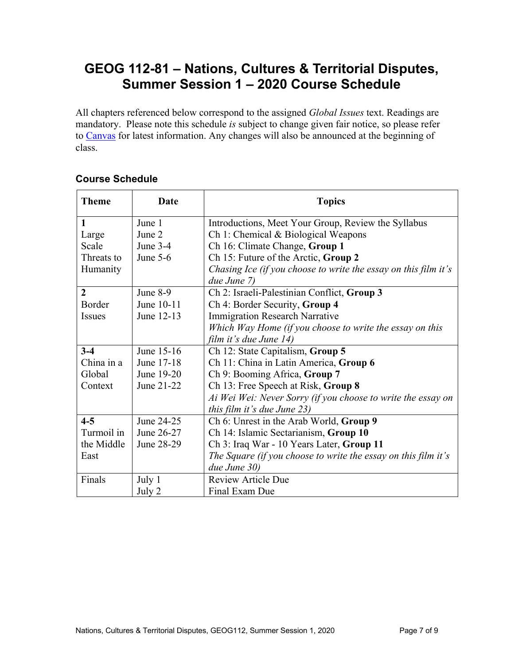# **GEOG 112-81 – Nations, Cultures & Territorial Disputes, Summer Session 1 – 2020 Course Schedule**

All chapters referenced below correspond to the assigned *Global Issues* text. Readings are mandatory. Please note this schedule *is* subject to change given fair notice, so please refer to Canvas for latest information. Any changes will also be announced at the beginning of class.

| <b>Theme</b>   | <b>Date</b> | <b>Topics</b>                                                   |  |
|----------------|-------------|-----------------------------------------------------------------|--|
| 1              | June 1      | Introductions, Meet Your Group, Review the Syllabus             |  |
| Large          | June 2      | Ch 1: Chemical & Biological Weapons                             |  |
| Scale          | June $3-4$  | Ch 16: Climate Change, Group 1                                  |  |
| Threats to     | June $5-6$  | Ch 15: Future of the Arctic, Group 2                            |  |
| Humanity       |             | Chasing Ice (if you choose to write the essay on this film it's |  |
|                |             | due June 7)                                                     |  |
| $\overline{2}$ | June $8-9$  | Ch 2: Israeli-Palestinian Conflict, Group 3                     |  |
| Border         | June 10-11  | Ch 4: Border Security, Group 4                                  |  |
| <b>Issues</b>  | June 12-13  | <b>Immigration Research Narrative</b>                           |  |
|                |             | Which Way Home (if you choose to write the essay on this        |  |
|                |             | film it's due June 14)                                          |  |
| $3 - 4$        | June 15-16  | Ch 12: State Capitalism, Group 5                                |  |
| China in a     | June 17-18  | Ch 11: China in Latin America, Group 6                          |  |
| Global         | June 19-20  | Ch 9: Booming Africa, Group 7                                   |  |
| Context        | June 21-22  | Ch 13: Free Speech at Risk, Group 8                             |  |
|                |             | Ai Wei Wei: Never Sorry (if you choose to write the essay on    |  |
|                |             | this film it's due June 23)                                     |  |
| $4 - 5$        | June 24-25  | Ch 6: Unrest in the Arab World, Group 9                         |  |
| Turmoil in     | June 26-27  | Ch 14: Islamic Sectarianism, Group 10                           |  |
| the Middle     | June 28-29  | Ch 3: Iraq War - 10 Years Later, Group 11                       |  |
| East           |             | The Square (if you choose to write the essay on this film it's  |  |
|                |             | due June 30)                                                    |  |
| Finals         | July 1      | <b>Review Article Due</b>                                       |  |
|                | July 2      | Final Exam Due                                                  |  |

# **Course Schedule**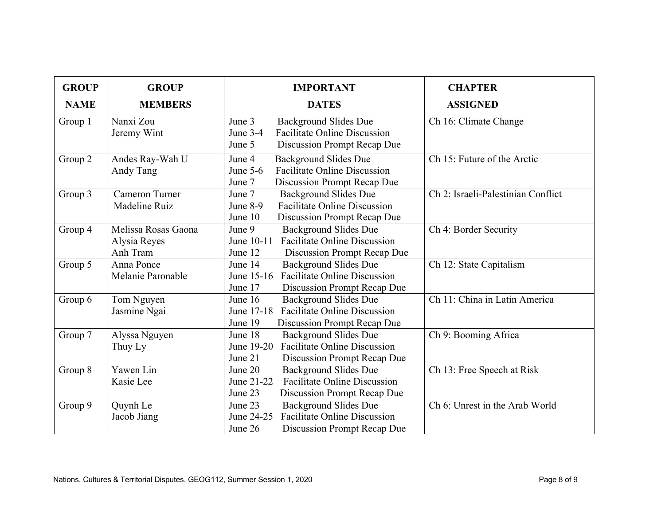| <b>GROUP</b> | <b>GROUP</b>                                    | <b>IMPORTANT</b>                                                                                                                        | <b>CHAPTER</b>                     |
|--------------|-------------------------------------------------|-----------------------------------------------------------------------------------------------------------------------------------------|------------------------------------|
| <b>NAME</b>  | <b>MEMBERS</b>                                  | <b>DATES</b>                                                                                                                            | <b>ASSIGNED</b>                    |
| Group 1      | Nanxi Zou<br>Jeremy Wint                        | <b>Background Slides Due</b><br>June 3<br><b>Facilitate Online Discussion</b><br>June $3-4$<br>June 5<br>Discussion Prompt Recap Due    | Ch 16: Climate Change              |
| Group 2      | Andes Ray-Wah U<br>Andy Tang                    | June 4<br><b>Background Slides Due</b><br><b>Facilitate Online Discussion</b><br>June $5-6$<br>Discussion Prompt Recap Due<br>June 7    | Ch 15: Future of the Arctic        |
| Group 3      | <b>Cameron Turner</b><br>Madeline Ruiz          | June 7<br><b>Background Slides Due</b><br><b>Facilitate Online Discussion</b><br>June $8-9$<br>June 10<br>Discussion Prompt Recap Due   | Ch 2: Israeli-Palestinian Conflict |
| Group 4      | Melissa Rosas Gaona<br>Alysia Reyes<br>Anh Tram | June 9<br><b>Background Slides Due</b><br><b>Facilitate Online Discussion</b><br>June $10-11$<br>June 12<br>Discussion Prompt Recap Due | Ch 4: Border Security              |
| Group 5      | Anna Ponce<br>Melanie Paronable                 | <b>Background Slides Due</b><br>June 14<br><b>Facilitate Online Discussion</b><br>June 15-16<br>June 17<br>Discussion Prompt Recap Due  | Ch 12: State Capitalism            |
| Group 6      | Tom Nguyen<br>Jasmine Ngai                      | <b>Background Slides Due</b><br>June 16<br>June 17-18<br><b>Facilitate Online Discussion</b><br>June 19<br>Discussion Prompt Recap Due  | Ch 11: China in Latin America      |
| Group 7      | Alyssa Nguyen<br>Thuy Ly                        | June 18<br>Background Slides Due<br><b>Facilitate Online Discussion</b><br>June 19-20<br>June 21<br>Discussion Prompt Recap Due         | Ch 9: Booming Africa               |
| Group 8      | Yawen Lin<br>Kasie Lee                          | <b>Background Slides Due</b><br>June 20<br><b>Facilitate Online Discussion</b><br>June 21-22<br>June 23<br>Discussion Prompt Recap Due  | Ch 13: Free Speech at Risk         |
| Group 9      | Quynh Le<br>Jacob Jiang                         | June 23<br><b>Background Slides Due</b><br>June 24-25<br><b>Facilitate Online Discussion</b><br>June 26<br>Discussion Prompt Recap Due  | Ch 6: Unrest in the Arab World     |